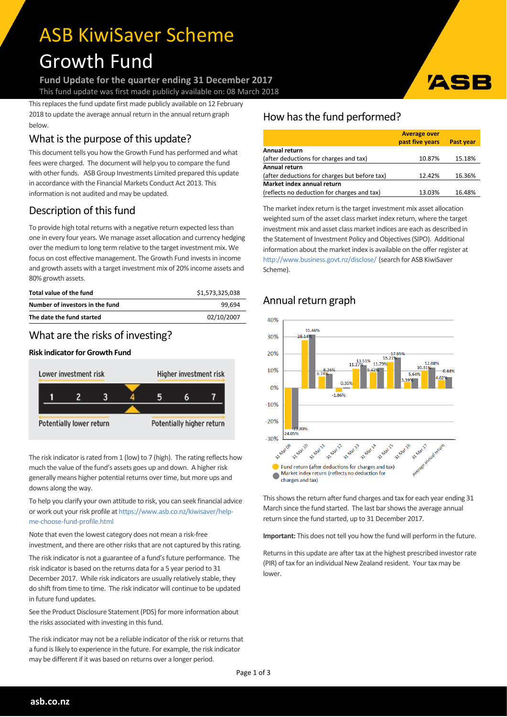# ASB KiwiSaver Scheme Growth Fund

**Fund Update for the quarter ending 31 December 2017** This fund update was first made publicly available on: 08 March 2018

This replaces the fund update first made publicly available on 12 February 2018 to update the average annual return in the annual return graph below.

# What is the purpose of this update?

This document tells you how the Growth Fund has performed and what fees were charged. The document will help you to compare the fund with other funds. ASB Group Investments Limited prepared this update in accordance with the Financial Markets Conduct Act 2013. This information is not audited and may be updated.

# Description of this fund

To provide high total returns with a negative return expected less than one in every four years. We manage asset allocation and currency hedging over the medium to long term relative to the target investment mix. We focus on cost effective management. The Growth Fund investsin income and growth assets with a target investment mix of 20% income assets and 80% growth assets.

| Total value of the fund         | \$1,573,325,038 |
|---------------------------------|-----------------|
| Number of investors in the fund | 99.694          |
| The date the fund started       | 02/10/2007      |

## What are the risks of investing?

#### **Risk indicator for Growth Fund**



The risk indicator is rated from 1 (low) to 7 (high). The rating reflects how much the value of the fund's assets goes up and down. A higher risk generally means higher potential returns over time, but more ups and downs along the way.

To help you clarify your own attitude to risk, you can seek financial advice or work out your risk profile at [https://www.asb.co.nz/kiwisaver/help](https://www.asb.co.nz/kiwisaver/help-me-choose-fund-profile.html)[me-choose-fund-profile.html](https://www.asb.co.nz/kiwisaver/help-me-choose-fund-profile.html)

Note that even the lowest category does not mean a risk-free investment, and there are other risks that are not captured by this rating.

The risk indicator is not a guarantee of a fund's future performance. The risk indicator is based on the returns data for a 5 year period to 31 December 2017. While risk indicators are usually relatively stable, they do shift from time to time. The risk indicator will continue to be updated in future fund updates.

See the Product Disclosure Statement (PDS) for more information about the risks associated with investing in this fund.

The risk indicator may not be a reliable indicator of the risk or returns that a fund is likely to experience in the future. For example, the risk indicator may be different if it was based on returns over a longer period.

## How has the fund performed?

|                                               | <b>Average over</b> |                  |  |  |
|-----------------------------------------------|---------------------|------------------|--|--|
|                                               | past five years     | <b>Past year</b> |  |  |
| Annual return                                 |                     |                  |  |  |
| (after deductions for charges and tax)        | 10.87%              | 15.18%           |  |  |
| Annual return                                 |                     |                  |  |  |
| (after deductions for charges but before tax) | 12.42%              | 16.36%           |  |  |
| Market index annual return                    |                     |                  |  |  |
| (reflects no deduction for charges and tax)   | 13.03%              | 16.48%           |  |  |

The market index return is the target investment mix asset allocation weighted sum of the asset class market index return, where the target investment mix and asset class market indices are each as described in the Statement of Investment Policy and Objectives(SIPO). Additional information about the market index is available on the offer register at <http://www.business.govt.nz/disclose/> (search for ASB KiwiSaver Scheme).

# Annual return graph



This shows the return after fund charges and tax for each year ending 31 March since the fund started. The last bar shows the average annual return since the fund started, up to 31 December 2017.

**Important:** This does not tell you how the fund will perform in the future.

Returns in this update are after tax at the highest prescribed investor rate (PIR) of tax for an individual New Zealand resident. Your tax may be lower.





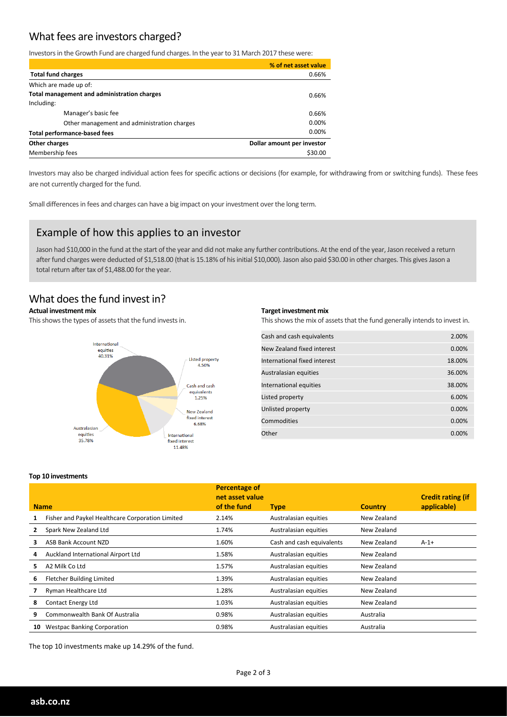## What fees are investors charged?

Investors in the Growth Fund are charged fund charges. In the year to 31 March 2017 these were:

|                                             | % of net asset value       |
|---------------------------------------------|----------------------------|
| <b>Total fund charges</b>                   | 0.66%                      |
| Which are made up of:                       |                            |
| Total management and administration charges | 0.66%                      |
| Including:                                  |                            |
| Manager's basic fee                         | 0.66%                      |
| Other management and administration charges | $0.00\%$                   |
| <b>Total performance-based fees</b>         | 0.00%                      |
| Other charges                               | Dollar amount per investor |
| Membership fees                             | \$30.00                    |

Investors may also be charged individual action fees for specific actions or decisions (for example, for withdrawing from or switching funds). These fees are not currently charged forthe fund.

Small differences in fees and charges can have a big impact on your investment over the long term.

#### Example of how this applies to an investor

Jason had \$10,000 in the fund at the start of the year and did not make any further contributions. At the end of the year, Jason received a return after fund charges were deducted of \$1,518.00 (that is 15.18% of his initial \$10,000). Jason also paid \$30.00 in other charges. This gives Jason a total return after tax of \$1,488.00 for the year.

## What does the fund invest in?

#### **Actual investment mix**

This shows the types of assets that the fund invests in.



#### **Target investment mix**

This shows the mix of assets that the fund generally intends to invest in.

| Cash and cash equivalents    | 2.00%    |
|------------------------------|----------|
| New Zealand fixed interest   | 0.00%    |
| International fixed interest | 18.00%   |
| Australasian equities        | 36.00%   |
| International equities       | 38.00%   |
| Listed property              | 6.00%    |
| Unlisted property            | 0.00%    |
| Commodities                  | 0.00%    |
| Other                        | $0.00\%$ |

#### **Top 10 investments**

|    |                                                  | <b>Percentage of</b><br>net asset value |                           |                | <b>Credit rating (if</b> |
|----|--------------------------------------------------|-----------------------------------------|---------------------------|----------------|--------------------------|
|    | <b>Name</b>                                      | of the fund                             | <b>Type</b>               | <b>Country</b> | applicable)              |
|    | Fisher and Paykel Healthcare Corporation Limited | 2.14%                                   | Australasian equities     | New Zealand    |                          |
|    | Spark New Zealand Ltd                            | 1.74%                                   | Australasian equities     | New Zealand    |                          |
| з  | ASB Bank Account NZD                             | 1.60%                                   | Cash and cash equivalents | New Zealand    | $A-1+$                   |
| 4  | Auckland International Airport Ltd               | 1.58%                                   | Australasian equities     | New Zealand    |                          |
| 5. | A2 Milk Co Ltd                                   | 1.57%                                   | Australasian equities     | New Zealand    |                          |
| 6  | <b>Fletcher Building Limited</b>                 | 1.39%                                   | Australasian equities     | New Zealand    |                          |
|    | Ryman Healthcare Ltd                             | 1.28%                                   | Australasian equities     | New Zealand    |                          |
| 8  | <b>Contact Energy Ltd</b>                        | 1.03%                                   | Australasian equities     | New Zealand    |                          |
| 9  | Commonwealth Bank Of Australia                   | 0.98%                                   | Australasian equities     | Australia      |                          |
| 10 | <b>Westpac Banking Corporation</b>               | 0.98%                                   | Australasian equities     | Australia      |                          |

The top 10 investments make up 14.29% of the fund.